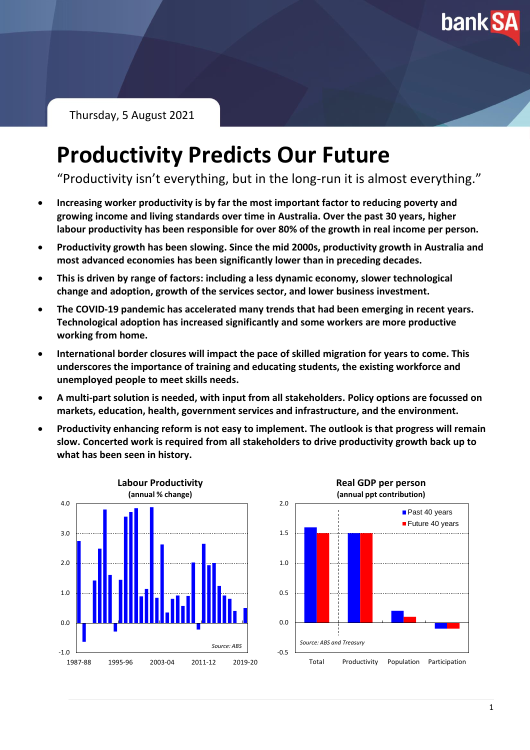

Thursday, 5 August 2021

# **Productivity Predicts Our Future**

"Productivity isn't everything, but in the long-run it is almost everything."

- **Increasing worker productivity is by far the most important factor to reducing poverty and growing income and living standards over time in Australia. Over the past 30 years, higher labour productivity has been responsible for over 80% of the growth in real income per person.**
- **Productivity growth has been slowing. Since the mid 2000s, productivity growth in Australia and most advanced economies has been significantly lower than in preceding decades.**
- **This is driven by range of factors: including a less dynamic economy, slower technological change and adoption, growth of the services sector, and lower business investment.**
- **The COVID-19 pandemic has accelerated many trends that had been emerging in recent years. Technological adoption has increased significantly and some workers are more productive working from home.**
- **International border closures will impact the pace of skilled migration for years to come. This underscores the importance of training and educating students, the existing workforce and unemployed people to meet skills needs.**
- **A multi-part solution is needed, with input from all stakeholders. Policy options are focussed on markets, education, health, government services and infrastructure, and the environment.**
- **Productivity enhancing reform is not easy to implement. The outlook is that progress will remain slow. Concerted work is required from all stakeholders to drive productivity growth back up to what has been seen in history.**



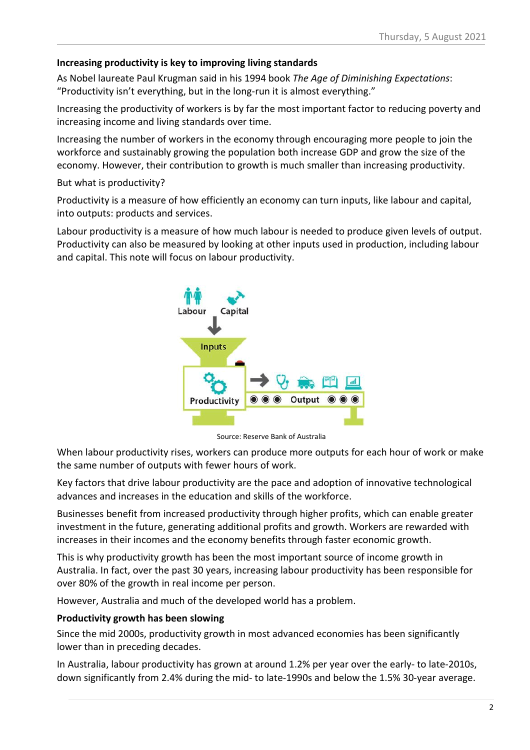#### **Increasing productivity is key to improving living standards**

As Nobel laureate Paul Krugman said in his 1994 book *The Age of Diminishing Expectations*: "Productivity isn't everything, but in the long-run it is almost everything."

Increasing the productivity of workers is by far the most important factor to reducing poverty and increasing income and living standards over time.

Increasing the number of workers in the economy through encouraging more people to join the workforce and sustainably growing the population both increase GDP and grow the size of the economy. However, their contribution to growth is much smaller than increasing productivity.

#### But what is productivity?

Productivity is a measure of how efficiently an economy can turn inputs, like labour and capital, into outputs: products and services.

Labour productivity is a measure of how much labour is needed to produce given levels of output. Productivity can also be measured by looking at other inputs used in production, including labour and capital. This note will focus on labour productivity.



Source: Reserve Bank of Australia

When labour productivity rises, workers can produce more outputs for each hour of work or make the same number of outputs with fewer hours of work.

Key factors that drive labour productivity are the pace and adoption of innovative technological advances and increases in the education and skills of the workforce.

Businesses benefit from increased productivity through higher profits, which can enable greater investment in the future, generating additional profits and growth. Workers are rewarded with increases in their incomes and the economy benefits through faster economic growth.

This is why productivity growth has been the most important source of income growth in Australia. In fact, over the past 30 years, increasing labour productivity has been responsible for over 80% of the growth in real income per person.

However, Australia and much of the developed world has a problem.

#### **Productivity growth has been slowing**

Since the mid 2000s, productivity growth in most advanced economies has been significantly lower than in preceding decades.

In Australia, labour productivity has grown at around 1.2% per year over the early- to late-2010s, down significantly from 2.4% during the mid- to late-1990s and below the 1.5% 30-year average.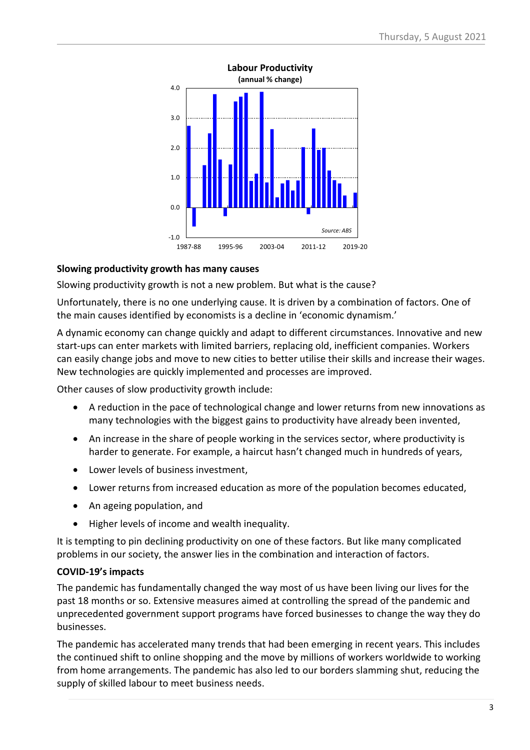

#### **Slowing productivity growth has many causes**

Slowing productivity growth is not a new problem. But what is the cause?

Unfortunately, there is no one underlying cause. It is driven by a combination of factors. One of the main causes identified by economists is a decline in 'economic dynamism.'

A dynamic economy can change quickly and adapt to different circumstances. Innovative and new start-ups can enter markets with limited barriers, replacing old, inefficient companies. Workers can easily change jobs and move to new cities to better utilise their skills and increase their wages. New technologies are quickly implemented and processes are improved.

Other causes of slow productivity growth include:

- A reduction in the pace of technological change and lower returns from new innovations as many technologies with the biggest gains to productivity have already been invented,
- An increase in the share of people working in the services sector, where productivity is harder to generate. For example, a haircut hasn't changed much in hundreds of years,
- Lower levels of business investment,
- Lower returns from increased education as more of the population becomes educated,
- An ageing population, and
- Higher levels of income and wealth inequality.

It is tempting to pin declining productivity on one of these factors. But like many complicated problems in our society, the answer lies in the combination and interaction of factors.

#### **COVID-19's impacts**

The pandemic has fundamentally changed the way most of us have been living our lives for the past 18 months or so. Extensive measures aimed at controlling the spread of the pandemic and unprecedented government support programs have forced businesses to change the way they do businesses.

The pandemic has accelerated many trends that had been emerging in recent years. This includes the continued shift to online shopping and the move by millions of workers worldwide to working from home arrangements. The pandemic has also led to our borders slamming shut, reducing the supply of skilled labour to meet business needs.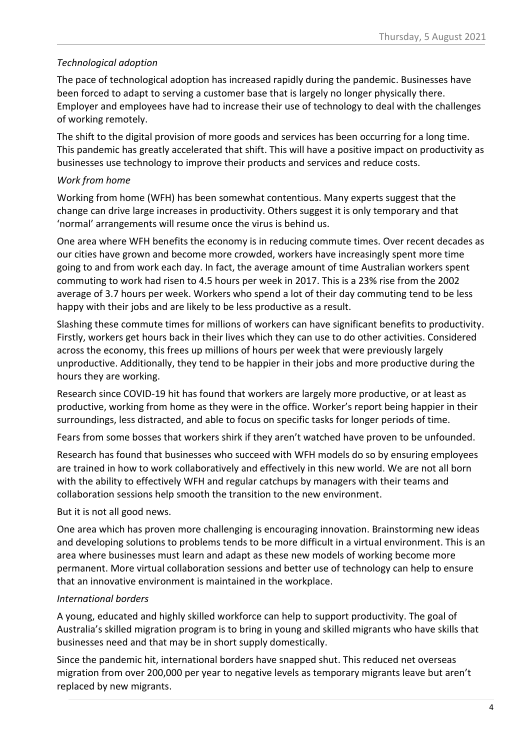#### *Technological adoption*

The pace of technological adoption has increased rapidly during the pandemic. Businesses have been forced to adapt to serving a customer base that is largely no longer physically there. Employer and employees have had to increase their use of technology to deal with the challenges of working remotely.

The shift to the digital provision of more goods and services has been occurring for a long time. This pandemic has greatly accelerated that shift. This will have a positive impact on productivity as businesses use technology to improve their products and services and reduce costs.

### *Work from home*

Working from home (WFH) has been somewhat contentious. Many experts suggest that the change can drive large increases in productivity. Others suggest it is only temporary and that 'normal' arrangements will resume once the virus is behind us.

One area where WFH benefits the economy is in reducing commute times. Over recent decades as our cities have grown and become more crowded, workers have increasingly spent more time going to and from work each day. In fact, the average amount of time Australian workers spent commuting to work had risen to 4.5 hours per week in 2017. This is a 23% rise from the 2002 average of 3.7 hours per week. Workers who spend a lot of their day commuting tend to be less happy with their jobs and are likely to be less productive as a result.

Slashing these commute times for millions of workers can have significant benefits to productivity. Firstly, workers get hours back in their lives which they can use to do other activities. Considered across the economy, this frees up millions of hours per week that were previously largely unproductive. Additionally, they tend to be happier in their jobs and more productive during the hours they are working.

Research since COVID-19 hit has found that workers are largely more productive, or at least as productive, working from home as they were in the office. Worker's report being happier in their surroundings, less distracted, and able to focus on specific tasks for longer periods of time.

Fears from some bosses that workers shirk if they aren't watched have proven to be unfounded.

Research has found that businesses who succeed with WFH models do so by ensuring employees are trained in how to work collaboratively and effectively in this new world. We are not all born with the ability to effectively WFH and regular catchups by managers with their teams and collaboration sessions help smooth the transition to the new environment.

But it is not all good news.

One area which has proven more challenging is encouraging innovation. Brainstorming new ideas and developing solutions to problems tends to be more difficult in a virtual environment. This is an area where businesses must learn and adapt as these new models of working become more permanent. More virtual collaboration sessions and better use of technology can help to ensure that an innovative environment is maintained in the workplace.

### *International borders*

A young, educated and highly skilled workforce can help to support productivity. The goal of Australia's skilled migration program is to bring in young and skilled migrants who have skills that businesses need and that may be in short supply domestically.

Since the pandemic hit, international borders have snapped shut. This reduced net overseas migration from over 200,000 per year to negative levels as temporary migrants leave but aren't replaced by new migrants.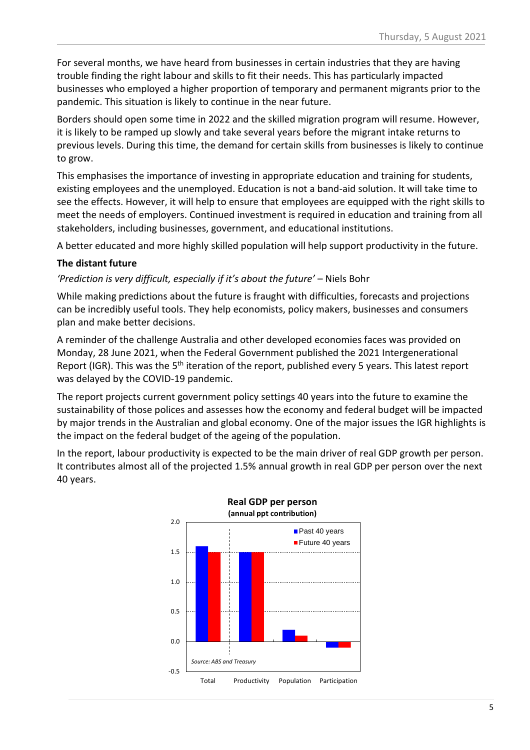For several months, we have heard from businesses in certain industries that they are having trouble finding the right labour and skills to fit their needs. This has particularly impacted businesses who employed a higher proportion of temporary and permanent migrants prior to the pandemic. This situation is likely to continue in the near future.

Borders should open some time in 2022 and the skilled migration program will resume. However, it is likely to be ramped up slowly and take several years before the migrant intake returns to previous levels. During this time, the demand for certain skills from businesses is likely to continue to grow.

This emphasises the importance of investing in appropriate education and training for students, existing employees and the unemployed. Education is not a band-aid solution. It will take time to see the effects. However, it will help to ensure that employees are equipped with the right skills to meet the needs of employers. Continued investment is required in education and training from all stakeholders, including businesses, government, and educational institutions.

A better educated and more highly skilled population will help support productivity in the future.

#### **The distant future**

*'Prediction is very difficult, especially if it's about the future'* – Niels Bohr

While making predictions about the future is fraught with difficulties, forecasts and projections can be incredibly useful tools. They help economists, policy makers, businesses and consumers plan and make better decisions.

A reminder of the challenge Australia and other developed economies faces was provided on Monday, 28 June 2021, when the Federal Government published the 2021 Intergenerational Report (IGR). This was the 5<sup>th</sup> iteration of the report, published every 5 years. This latest report was delayed by the COVID-19 pandemic.

The report projects current government policy settings 40 years into the future to examine the sustainability of those polices and assesses how the economy and federal budget will be impacted by major trends in the Australian and global economy. One of the major issues the IGR highlights is the impact on the federal budget of the ageing of the population.

In the report, labour productivity is expected to be the main driver of real GDP growth per person. It contributes almost all of the projected 1.5% annual growth in real GDP per person over the next 40 years.

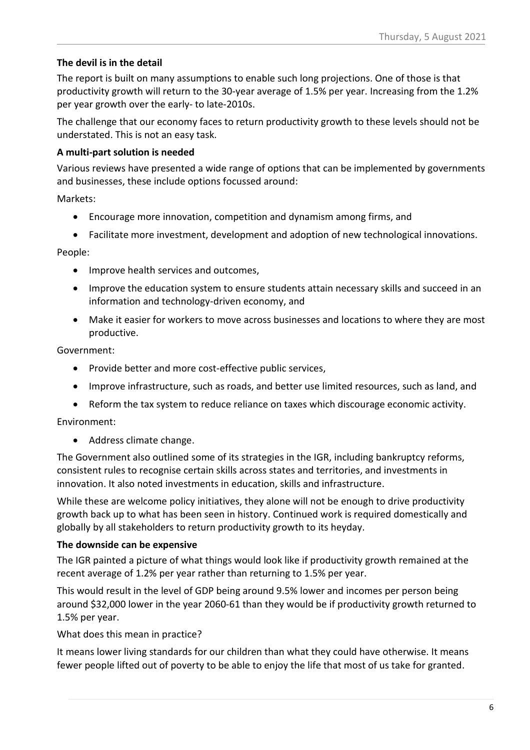#### **The devil is in the detail**

The report is built on many assumptions to enable such long projections. One of those is that productivity growth will return to the 30-year average of 1.5% per year. Increasing from the 1.2% per year growth over the early- to late-2010s.

The challenge that our economy faces to return productivity growth to these levels should not be understated. This is not an easy task.

#### **A multi-part solution is needed**

Various reviews have presented a wide range of options that can be implemented by governments and businesses, these include options focussed around:

Markets:

- Encourage more innovation, competition and dynamism among firms, and
- Facilitate more investment, development and adoption of new technological innovations.

People:

- Improve health services and outcomes,
- Improve the education system to ensure students attain necessary skills and succeed in an information and technology-driven economy, and
- Make it easier for workers to move across businesses and locations to where they are most productive.

Government:

- Provide better and more cost-effective public services,
- Improve infrastructure, such as roads, and better use limited resources, such as land, and
- Reform the tax system to reduce reliance on taxes which discourage economic activity.

Environment:

• Address climate change.

The Government also outlined some of its strategies in the IGR, including bankruptcy reforms, consistent rules to recognise certain skills across states and territories, and investments in innovation. It also noted investments in education, skills and infrastructure.

While these are welcome policy initiatives, they alone will not be enough to drive productivity growth back up to what has been seen in history. Continued work is required domestically and globally by all stakeholders to return productivity growth to its heyday.

#### **The downside can be expensive**

The IGR painted a picture of what things would look like if productivity growth remained at the recent average of 1.2% per year rather than returning to 1.5% per year.

This would result in the level of GDP being around 9.5% lower and incomes per person being around \$32,000 lower in the year 2060-61 than they would be if productivity growth returned to 1.5% per year.

What does this mean in practice?

It means lower living standards for our children than what they could have otherwise. It means fewer people lifted out of poverty to be able to enjoy the life that most of us take for granted.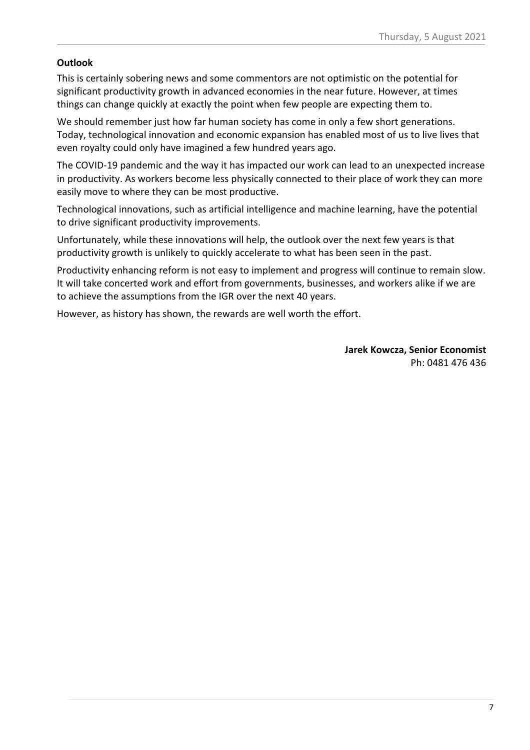#### **Outlook**

This is certainly sobering news and some commentors are not optimistic on the potential for significant productivity growth in advanced economies in the near future. However, at times things can change quickly at exactly the point when few people are expecting them to.

We should remember just how far human society has come in only a few short generations. Today, technological innovation and economic expansion has enabled most of us to live lives that even royalty could only have imagined a few hundred years ago.

The COVID-19 pandemic and the way it has impacted our work can lead to an unexpected increase in productivity. As workers become less physically connected to their place of work they can more easily move to where they can be most productive.

Technological innovations, such as artificial intelligence and machine learning, have the potential to drive significant productivity improvements.

Unfortunately, while these innovations will help, the outlook over the next few years is that productivity growth is unlikely to quickly accelerate to what has been seen in the past.

Productivity enhancing reform is not easy to implement and progress will continue to remain slow. It will take concerted work and effort from governments, businesses, and workers alike if we are to achieve the assumptions from the IGR over the next 40 years.

However, as history has shown, the rewards are well worth the effort.

**Jarek Kowcza, Senior Economist** Ph: 0481 476 436